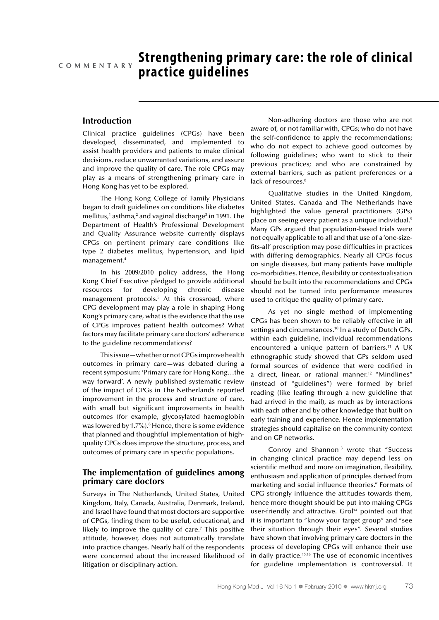# **Strengthening primary care: the role of clinical practice guidelines C o m m e n t a r y**

# **Introduction**

Clinical practice guidelines (CPGs) have been developed, disseminated, and implemented to assist health providers and patients to make clinical decisions, reduce unwarranted variations, and assure and improve the quality of care. The role CPGs may play as a means of strengthening primary care in Hong Kong has yet to be explored.

The Hong Kong College of Family Physicians began to draft guidelines on conditions like diabetes mellitus,<sup>1</sup> asthma,<sup>2</sup> and vaginal discharge<sup>3</sup> in 1991. The Department of Health's Professional Development and Quality Assurance website currently displays CPGs on pertinent primary care conditions like type 2 diabetes mellitus, hypertension, and lipid management.4

In his 2009/2010 policy address, the Hong Kong Chief Executive pledged to provide additional resources for developing chronic disease management protocols.<sup>5</sup> At this crossroad, where CPG development may play a role in shaping Hong Kong's primary care, what is the evidence that the use of CPGs improves patient health outcomes? What factors may facilitate primary care doctors' adherence to the guideline recommendations?

This issue—whether or not CPGs improve health outcomes in primary care—was debated during a recent symposium: 'Primary care for Hong Kong…the way forward'. A newly published systematic review of the impact of CPGs in The Netherlands reported improvement in the process and structure of care, with small but significant improvements in health outcomes (for example, glycosylated haemoglobin was lowered by 1.7%).<sup>6</sup> Hence, there is some evidence that planned and thoughtful implementation of highquality CPGs does improve the structure, process, and outcomes of primary care in specific populations.

## **The implementation of guidelines among primary care doctors**

Surveys in The Netherlands, United States, United Kingdom, Italy, Canada, Australia, Denmark, Ireland, and Israel have found that most doctors are supportive of CPGs, finding them to be useful, educational, and likely to improve the quality of care.<sup>7</sup> This positive attitude, however, does not automatically translate into practice changes. Nearly half of the respondents were concerned about the increased likelihood of litigation or disciplinary action.

Non-adhering doctors are those who are not aware of, or not familiar with, CPGs; who do not have the self-confidence to apply the recommendations; who do not expect to achieve good outcomes by following guidelines; who want to stick to their previous practices; and who are constrained by external barriers, such as patient preferences or a lack of resources.<sup>8</sup>

Qualitative studies in the United Kingdom, United States, Canada and The Netherlands have highlighted the value general practitioners (GPs) place on seeing every patient as a unique individual.<sup>9</sup> Many GPs argued that population-based trials were not equally applicable to all and that use of a 'one-sizefits-all' prescription may pose difficulties in practices with differing demographics. Nearly all CPGs focus on single diseases, but many patients have multiple co-morbidities. Hence, flexibility or contextualisation should be built into the recommendations and CPGs should not be turned into performance measures used to critique the quality of primary care.

As yet no single method of implementing CPGs has been shown to be reliably effective in all settings and circumstances.<sup>10</sup> In a study of Dutch GPs, within each guideline, individual recommendations encountered a unique pattern of barriers.<sup>11</sup> A UK ethnographic study showed that GPs seldom used formal sources of evidence that were codified in a direct, linear, or rational manner.<sup>12</sup> "Mindlines" (instead of "guidelines") were formed by brief reading (like leafing through a new guideline that had arrived in the mail), as much as by interactions with each other and by other knowledge that built on early training and experience. Hence implementation strategies should capitalise on the community context and on GP networks.

Conroy and Shannon<sup>13</sup> wrote that "Success in changing clinical practice may depend less on scientific method and more on imagination, flexibility, enthusiasm and application of principles derived from marketing and social influence theories." Formats of CPG strongly influence the attitudes towards them, hence more thought should be put into making CPGs user-friendly and attractive. Grol<sup>14</sup> pointed out that it is important to "know your target group" and "see their situation through their eyes". Several studies have shown that involving primary care doctors in the process of developing CPGs will enhance their use in daily practice.<sup>15,16</sup> The use of economic incentives for guideline implementation is controversial. It